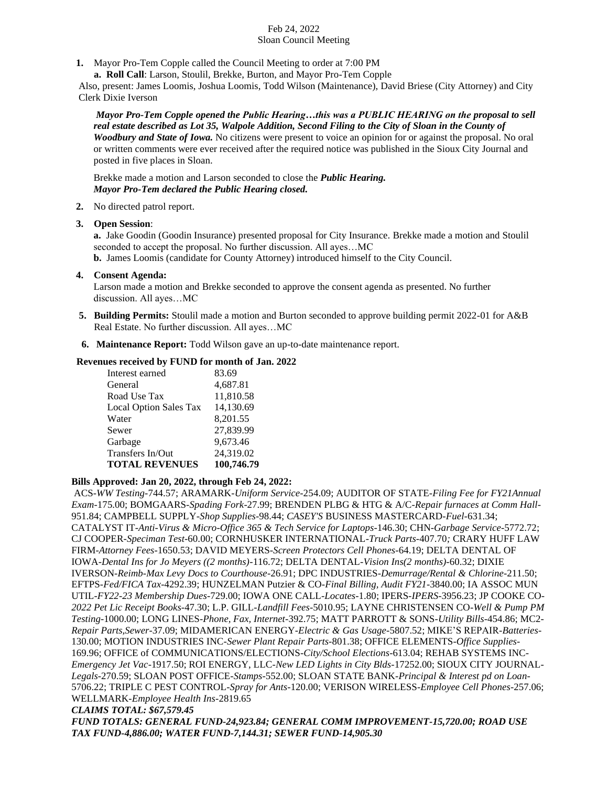#### Feb 24, 2022 Sloan Council Meeting

- **1.** Mayor Pro-Tem Copple called the Council Meeting to order at 7:00 PM
	- **a. Roll Call**: Larson, Stoulil, Brekke, Burton, and Mayor Pro-Tem Copple

Also, present: James Loomis, Joshua Loomis, Todd Wilson (Maintenance), David Briese (City Attorney) and City Clerk Dixie Iverson

*Mayor Pro-Tem Copple opened the Public Hearing…this was a PUBLIC HEARING on the proposal to sell real estate described as Lot 35, Walpole Addition, Second Filing to the City of Sloan in the County of Woodbury and State of Iowa.* No citizens were present to voice an opinion for or against the proposal. No oral or written comments were ever received after the required notice was published in the Sioux City Journal and posted in five places in Sloan.

Brekke made a motion and Larson seconded to close the *Public Hearing. Mayor Pro-Tem declared the Public Hearing closed.*

**2.** No directed patrol report.

#### **3. Open Session**:

**a.** Jake Goodin (Goodin Insurance) presented proposal for City Insurance. Brekke made a motion and Stoulil seconded to accept the proposal. No further discussion. All ayes…MC

**b.** James Loomis (candidate for County Attorney) introduced himself to the City Council.

## **4. Consent Agenda:**

Larson made a motion and Brekke seconded to approve the consent agenda as presented. No further discussion. All ayes…MC

- **5. Building Permits:** Stoulil made a motion and Burton seconded to approve building permit 2022-01 for A&B Real Estate. No further discussion. All ayes…MC
- **6. Maintenance Report:** Todd Wilson gave an up-to-date maintenance report.

#### **Revenues received by FUND for month of Jan. 2022**

| Interest earned        | 83.69      |
|------------------------|------------|
| General                | 4,687.81   |
| Road Use Tax           | 11,810.58  |
| Local Option Sales Tax | 14,130.69  |
| Water                  | 8,201.55   |
| Sewer                  | 27,839.99  |
| Garbage                | 9,673.46   |
| Transfers In/Out       | 24,319.02  |
| <b>TOTAL REVENUES</b>  | 100,746.79 |

#### **Bills Approved: Jan 20, 2022, through Feb 24, 2022:**

ACS-*WW Testing-*744.57; ARAMARK-*Uniform Service-*254.09; AUDITOR OF STATE-*Filing Fee for FY21Annual Exam-*175.00; BOMGAARS-*Spading Fork-*27.99; BRENDEN PLBG & HTG & A/C-*Repair furnaces at Comm Hall-*951.84; CAMPBELL SUPPLY-*Shop Supplies-*98.44; *CASEY'S* BUSINESS MASTERCARD-*Fuel-*631.34; CATALYST IT-*Anti-Virus & Micro-Office 365 & Tech Service for Laptops-*146.30; CHN-*Garbage Service-*5772.72; CJ COOPER-*Speciman Test-*60.00; CORNHUSKER INTERNATIONAL-*Truck Parts-*407.70*;* CRARY HUFF LAW FIRM-*Attorney Fees-*1650.53; DAVID MEYERS-*Screen Protectors Cell Phones-*64.19; DELTA DENTAL OF IOWA-*Dental Ins for Jo Meyers ((2 months)-*116.72; DELTA DENTAL-*Vision Ins(2 months)-*60.32; DIXIE IVERSON-*Reimb-Max Levy Docs to Courthouse-*26.91; DPC INDUSTRIES-*Demurrage/Rental & Chlorine-*211.50; EFTPS-*Fed/FICA Tax*-4292.39; HUNZELMAN Putzier & CO-*Final Billing, Audit FY21-*3840.00; IA ASSOC MUN UTIL-*FY22-23 Membership Dues-*729.00; IOWA ONE CALL-*Locates-*1.80; IPERS-*IPERS-*3956.23; JP COOKE CO-*2022 Pet Lic Receipt Books-*47.30; L.P. GILL-*Landfill Fees-*5010.95; LAYNE CHRISTENSEN CO-*Well & Pump PM Testing-*1000.00; LONG LINES-*Phone, Fax, Internet*-392.75; MATT PARROTT & SONS-*Utility Bills-*454.86; MC2- *Repair Parts,Sewer-*37.09; MIDAMERICAN ENERGY-*Electric & Gas Usage*-5807.52; MIKE'S REPAIR-*Batteries-*130.00; MOTION INDUSTRIES INC-*Sewer Plant Repair Parts-*801.38; OFFICE ELEMENTS-*Office Supplies-*169.96; OFFICE of COMMUNICATIONS/ELECTIONS-*City/School Elections-*613.04; REHAB SYSTEMS INC-*Emergency Jet Vac-*1917.50; ROI ENERGY, LLC-*New LED Lights in City Blds-*17252.00; SIOUX CITY JOURNAL-*Legals-*270.59; SLOAN POST OFFICE-*Stamps-*552.00; SLOAN STATE BANK-*Principal & Interest pd on Loan-*5706.22; TRIPLE C PEST CONTROL-*Spray for Ants-*120.00; VERISON WIRELESS-*Employee Cell Phones-*257.06; WELLMARK-*Employee Health Ins-*2819.65

### *CLAIMS TOTAL: \$67,579.45*

*FUND TOTALS: GENERAL FUND-24,923.84; GENERAL COMM IMPROVEMENT-15,720.00; ROAD USE TAX FUND-4,886.00; WATER FUND-7,144.31; SEWER FUND-14,905.30*